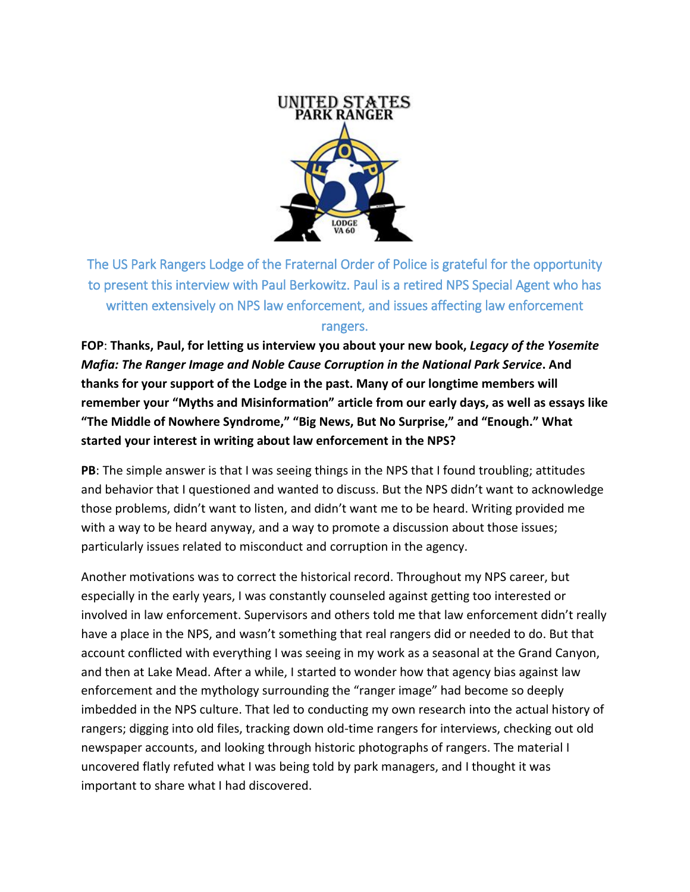

The US Park Rangers Lodge of the Fraternal Order of Police is grateful for the opportunity to present this interview with Paul Berkowitz. Paul is a retired NPS Special Agent who has written extensively on NPS law enforcement, and issues affecting law enforcement rangers.

**FOP**: **Thanks, Paul, for letting us interview you about your new book,** *Legacy of the Yosemite Mafia: The Ranger Image and Noble Cause Corruption in the National Park Service***. And thanks for your support of the Lodge in the past. Many of our longtime members will remember your "Myths and Misinformation" article from our early days, as well as essays like "The Middle of Nowhere Syndrome," "Big News, But No Surprise," and "Enough." What started your interest in writing about law enforcement in the NPS?**

**PB**: The simple answer is that I was seeing things in the NPS that I found troubling; attitudes and behavior that I questioned and wanted to discuss. But the NPS didn't want to acknowledge those problems, didn't want to listen, and didn't want me to be heard. Writing provided me with a way to be heard anyway, and a way to promote a discussion about those issues; particularly issues related to misconduct and corruption in the agency.

Another motivations was to correct the historical record. Throughout my NPS career, but especially in the early years, I was constantly counseled against getting too interested or involved in law enforcement. Supervisors and others told me that law enforcement didn't really have a place in the NPS, and wasn't something that real rangers did or needed to do. But that account conflicted with everything I was seeing in my work as a seasonal at the Grand Canyon, and then at Lake Mead. After a while, I started to wonder how that agency bias against law enforcement and the mythology surrounding the "ranger image" had become so deeply imbedded in the NPS culture. That led to conducting my own research into the actual history of rangers; digging into old files, tracking down old-time rangers for interviews, checking out old newspaper accounts, and looking through historic photographs of rangers. The material I uncovered flatly refuted what I was being told by park managers, and I thought it was important to share what I had discovered.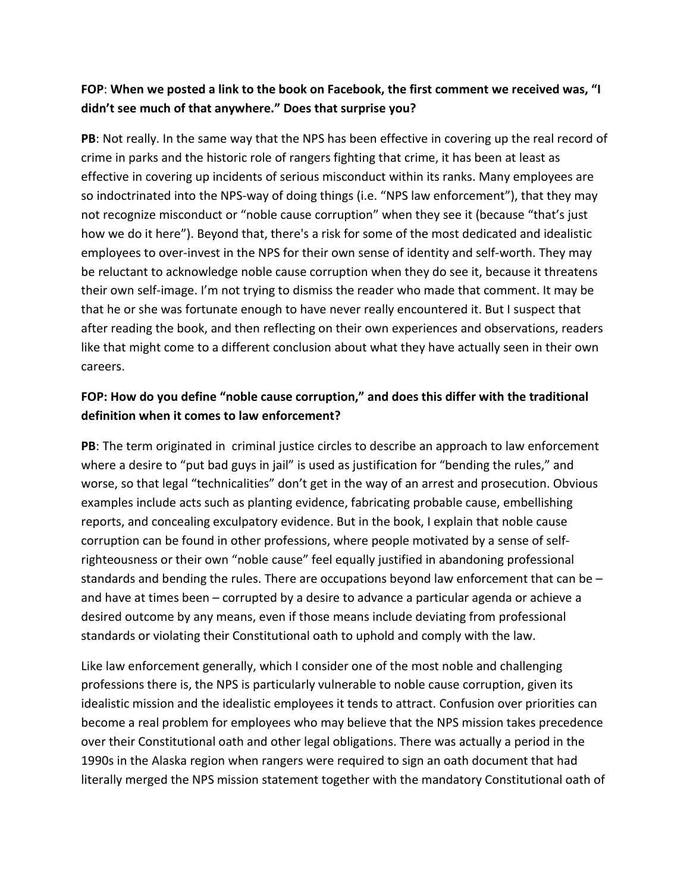## **FOP**: **When we posted a link to the book on Facebook, the first comment we received was, "I didn't see much of that anywhere." Does that surprise you?**

**PB**: Not really. In the same way that the NPS has been effective in covering up the real record of crime in parks and the historic role of rangers fighting that crime, it has been at least as effective in covering up incidents of serious misconduct within its ranks. Many employees are so indoctrinated into the NPS-way of doing things (i.e. "NPS law enforcement"), that they may not recognize misconduct or "noble cause corruption" when they see it (because "that's just how we do it here"). Beyond that, there's a risk for some of the most dedicated and idealistic employees to over-invest in the NPS for their own sense of identity and self-worth. They may be reluctant to acknowledge noble cause corruption when they do see it, because it threatens their own self-image. I'm not trying to dismiss the reader who made that comment. It may be that he or she was fortunate enough to have never really encountered it. But I suspect that after reading the book, and then reflecting on their own experiences and observations, readers like that might come to a different conclusion about what they have actually seen in their own careers.

### **FOP: How do you define "noble cause corruption," and does this differ with the traditional definition when it comes to law enforcement?**

**PB**: The term originated in criminal justice circles to describe an approach to law enforcement where a desire to "put bad guys in jail" is used as justification for "bending the rules," and worse, so that legal "technicalities" don't get in the way of an arrest and prosecution. Obvious examples include acts such as planting evidence, fabricating probable cause, embellishing reports, and concealing exculpatory evidence. But in the book, I explain that noble cause corruption can be found in other professions, where people motivated by a sense of selfrighteousness or their own "noble cause" feel equally justified in abandoning professional standards and bending the rules. There are occupations beyond law enforcement that can be – and have at times been – corrupted by a desire to advance a particular agenda or achieve a desired outcome by any means, even if those means include deviating from professional standards or violating their Constitutional oath to uphold and comply with the law.

Like law enforcement generally, which I consider one of the most noble and challenging professions there is, the NPS is particularly vulnerable to noble cause corruption, given its idealistic mission and the idealistic employees it tends to attract. Confusion over priorities can become a real problem for employees who may believe that the NPS mission takes precedence over their Constitutional oath and other legal obligations. There was actually a period in the 1990s in the Alaska region when rangers were required to sign an oath document that had literally merged the NPS mission statement together with the mandatory Constitutional oath of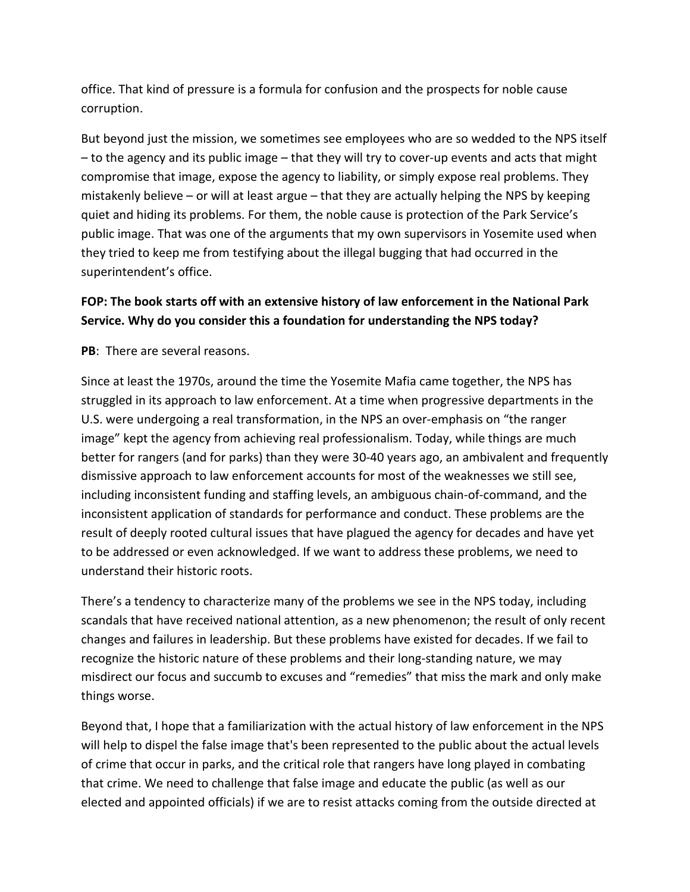office. That kind of pressure is a formula for confusion and the prospects for noble cause corruption.

But beyond just the mission, we sometimes see employees who are so wedded to the NPS itself – to the agency and its public image – that they will try to cover-up events and acts that might compromise that image, expose the agency to liability, or simply expose real problems. They mistakenly believe – or will at least argue – that they are actually helping the NPS by keeping quiet and hiding its problems. For them, the noble cause is protection of the Park Service's public image. That was one of the arguments that my own supervisors in Yosemite used when they tried to keep me from testifying about the illegal bugging that had occurred in the superintendent's office.

### **FOP: The book starts off with an extensive history of law enforcement in the National Park Service. Why do you consider this a foundation for understanding the NPS today?**

**PB**: There are several reasons.

Since at least the 1970s, around the time the Yosemite Mafia came together, the NPS has struggled in its approach to law enforcement. At a time when progressive departments in the U.S. were undergoing a real transformation, in the NPS an over-emphasis on "the ranger image" kept the agency from achieving real professionalism. Today, while things are much better for rangers (and for parks) than they were 30-40 years ago, an ambivalent and frequently dismissive approach to law enforcement accounts for most of the weaknesses we still see, including inconsistent funding and staffing levels, an ambiguous chain-of-command, and the inconsistent application of standards for performance and conduct. These problems are the result of deeply rooted cultural issues that have plagued the agency for decades and have yet to be addressed or even acknowledged. If we want to address these problems, we need to understand their historic roots.

There's a tendency to characterize many of the problems we see in the NPS today, including scandals that have received national attention, as a new phenomenon; the result of only recent changes and failures in leadership. But these problems have existed for decades. If we fail to recognize the historic nature of these problems and their long-standing nature, we may misdirect our focus and succumb to excuses and "remedies" that miss the mark and only make things worse.

Beyond that, I hope that a familiarization with the actual history of law enforcement in the NPS will help to dispel the false image that's been represented to the public about the actual levels of crime that occur in parks, and the critical role that rangers have long played in combating that crime. We need to challenge that false image and educate the public (as well as our elected and appointed officials) if we are to resist attacks coming from the outside directed at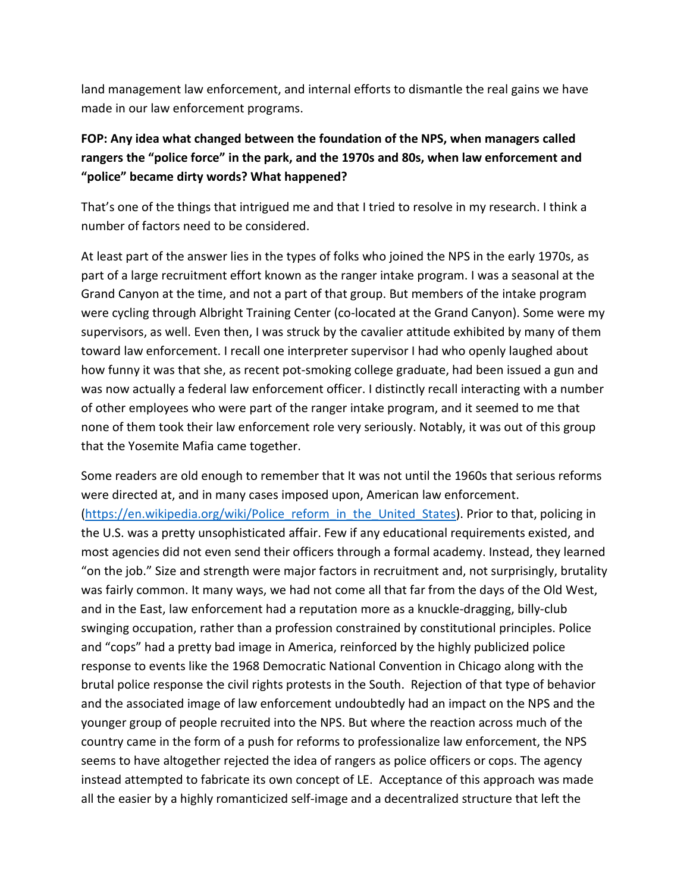land management law enforcement, and internal efforts to dismantle the real gains we have made in our law enforcement programs.

# **FOP: Any idea what changed between the foundation of the NPS, when managers called rangers the "police force" in the park, and the 1970s and 80s, when law enforcement and "police" became dirty words? What happened?**

That's one of the things that intrigued me and that I tried to resolve in my research. I think a number of factors need to be considered.

At least part of the answer lies in the types of folks who joined the NPS in the early 1970s, as part of a large recruitment effort known as the ranger intake program. I was a seasonal at the Grand Canyon at the time, and not a part of that group. But members of the intake program were cycling through Albright Training Center (co-located at the Grand Canyon). Some were my supervisors, as well. Even then, I was struck by the cavalier attitude exhibited by many of them toward law enforcement. I recall one interpreter supervisor I had who openly laughed about how funny it was that she, as recent pot-smoking college graduate, had been issued a gun and was now actually a federal law enforcement officer. I distinctly recall interacting with a number of other employees who were part of the ranger intake program, and it seemed to me that none of them took their law enforcement role very seriously. Notably, it was out of this group that the Yosemite Mafia came together.

Some readers are old enough to remember that It was not until the 1960s that serious reforms were directed at, and in many cases imposed upon, American law enforcement. [\(https://en.wikipedia.org/wiki/Police\\_reform\\_in\\_the\\_United\\_States\)](https://en.wikipedia.org/wiki/Police_reform_in_the_United_States). Prior to that, policing in the U.S. was a pretty unsophisticated affair. Few if any educational requirements existed, and most agencies did not even send their officers through a formal academy. Instead, they learned "on the job." Size and strength were major factors in recruitment and, not surprisingly, brutality was fairly common. It many ways, we had not come all that far from the days of the Old West, and in the East, law enforcement had a reputation more as a knuckle-dragging, billy-club swinging occupation, rather than a profession constrained by constitutional principles. Police and "cops" had a pretty bad image in America, reinforced by the highly publicized police response to events like the 1968 Democratic National Convention in Chicago along with the brutal police response the civil rights protests in the South. Rejection of that type of behavior and the associated image of law enforcement undoubtedly had an impact on the NPS and the younger group of people recruited into the NPS. But where the reaction across much of the country came in the form of a push for reforms to professionalize law enforcement, the NPS seems to have altogether rejected the idea of rangers as police officers or cops. The agency instead attempted to fabricate its own concept of LE. Acceptance of this approach was made all the easier by a highly romanticized self-image and a decentralized structure that left the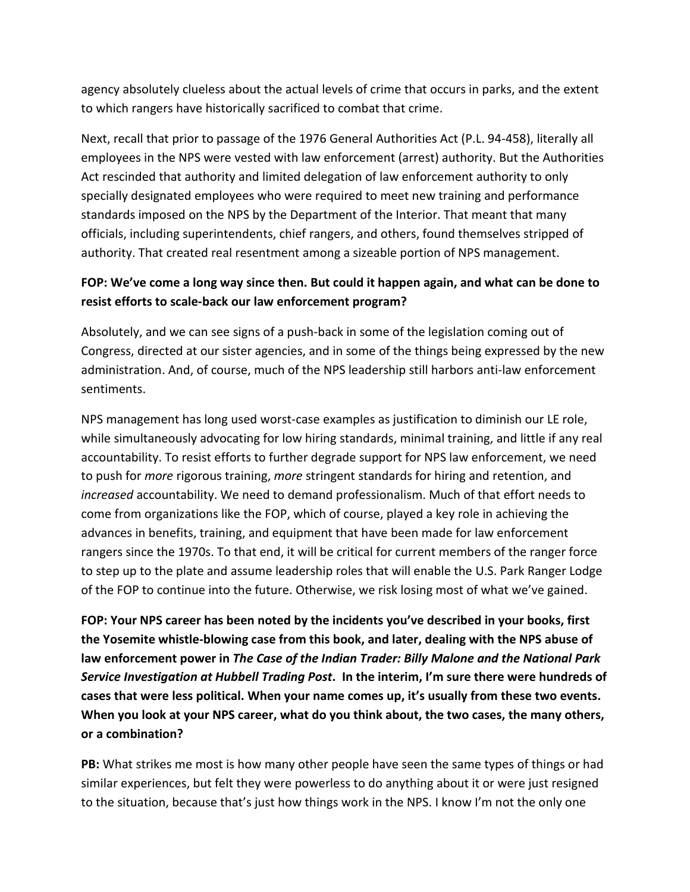agency absolutely clueless about the actual levels of crime that occurs in parks, and the extent to which rangers have historically sacrificed to combat that crime.

Next, recall that prior to passage of the 1976 General Authorities Act (P.L. 94-458), literally all employees in the NPS were vested with law enforcement (arrest) authority. But the Authorities Act rescinded that authority and limited delegation of law enforcement authority to only specially designated employees who were required to meet new training and performance standards imposed on the NPS by the Department of the Interior. That meant that many officials, including superintendents, chief rangers, and others, found themselves stripped of authority. That created real resentment among a sizeable portion of NPS management.

### **FOP: We've come a long way since then. But could it happen again, and what can be done to resist efforts to scale-back our law enforcement program?**

Absolutely, and we can see signs of a push-back in some of the legislation coming out of Congress, directed at our sister agencies, and in some of the things being expressed by the new administration. And, of course, much of the NPS leadership still harbors anti-law enforcement sentiments.

NPS management has long used worst-case examples as justification to diminish our LE role, while simultaneously advocating for low hiring standards, minimal training, and little if any real accountability. To resist efforts to further degrade support for NPS law enforcement, we need to push for *more* rigorous training, *more* stringent standards for hiring and retention, and *increased* accountability. We need to demand professionalism. Much of that effort needs to come from organizations like the FOP, which of course, played a key role in achieving the advances in benefits, training, and equipment that have been made for law enforcement rangers since the 1970s. To that end, it will be critical for current members of the ranger force to step up to the plate and assume leadership roles that will enable the U.S. Park Ranger Lodge of the FOP to continue into the future. Otherwise, we risk losing most of what we've gained.

**FOP: Your NPS career has been noted by the incidents you've described in your books, first the Yosemite whistle-blowing case from this book, and later, dealing with the NPS abuse of law enforcement power in** *The Case of the Indian Trader: Billy Malone and the National Park Service Investigation at Hubbell Trading Post***. In the interim, I'm sure there were hundreds of cases that were less political. When your name comes up, it's usually from these two events. When you look at your NPS career, what do you think about, the two cases, the many others, or a combination?**

**PB:** What strikes me most is how many other people have seen the same types of things or had similar experiences, but felt they were powerless to do anything about it or were just resigned to the situation, because that's just how things work in the NPS. I know I'm not the only one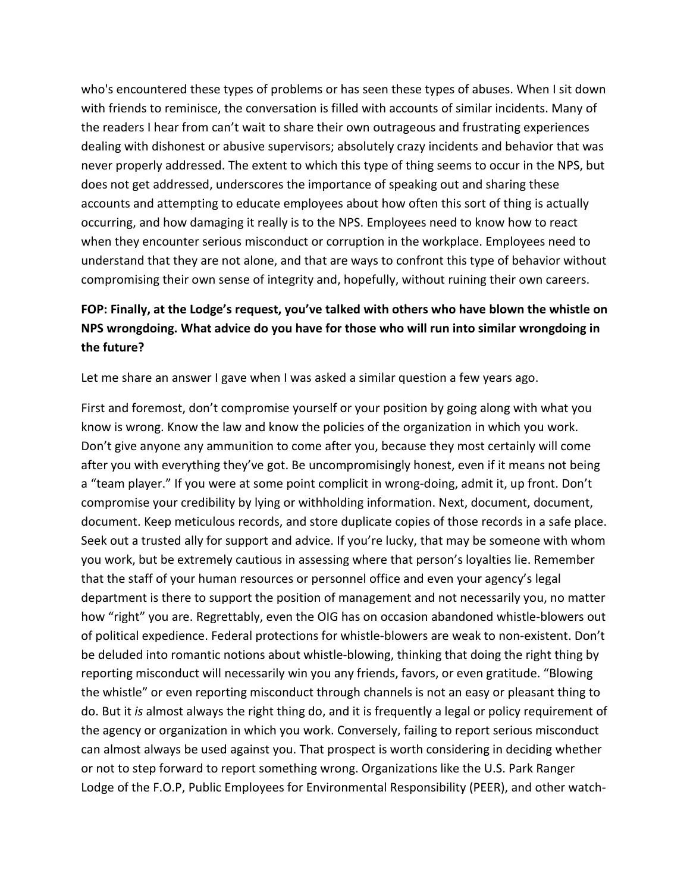who's encountered these types of problems or has seen these types of abuses. When I sit down with friends to reminisce, the conversation is filled with accounts of similar incidents. Many of the readers I hear from can't wait to share their own outrageous and frustrating experiences dealing with dishonest or abusive supervisors; absolutely crazy incidents and behavior that was never properly addressed. The extent to which this type of thing seems to occur in the NPS, but does not get addressed, underscores the importance of speaking out and sharing these accounts and attempting to educate employees about how often this sort of thing is actually occurring, and how damaging it really is to the NPS. Employees need to know how to react when they encounter serious misconduct or corruption in the workplace. Employees need to understand that they are not alone, and that are ways to confront this type of behavior without compromising their own sense of integrity and, hopefully, without ruining their own careers.

## **FOP: Finally, at the Lodge's request, you've talked with others who have blown the whistle on NPS wrongdoing. What advice do you have for those who will run into similar wrongdoing in the future?**

Let me share an answer I gave when I was asked a similar question a few years ago.

First and foremost, don't compromise yourself or your position by going along with what you know is wrong. Know the law and know the policies of the organization in which you work. Don't give anyone any ammunition to come after you, because they most certainly will come after you with everything they've got. Be uncompromisingly honest, even if it means not being a "team player." If you were at some point complicit in wrong-doing, admit it, up front. Don't compromise your credibility by lying or withholding information. Next, document, document, document. Keep meticulous records, and store duplicate copies of those records in a safe place. Seek out a trusted ally for support and advice. If you're lucky, that may be someone with whom you work, but be extremely cautious in assessing where that person's loyalties lie. Remember that the staff of your human resources or personnel office and even your agency's legal department is there to support the position of management and not necessarily you, no matter how "right" you are. Regrettably, even the OIG has on occasion abandoned whistle-blowers out of political expedience. Federal protections for whistle-blowers are weak to non-existent. Don't be deluded into romantic notions about whistle-blowing, thinking that doing the right thing by reporting misconduct will necessarily win you any friends, favors, or even gratitude. "Blowing the whistle" or even reporting misconduct through channels is not an easy or pleasant thing to do. But it *is* almost always the right thing do, and it is frequently a legal or policy requirement of the agency or organization in which you work. Conversely, failing to report serious misconduct can almost always be used against you. That prospect is worth considering in deciding whether or not to step forward to report something wrong. Organizations like the U.S. Park Ranger Lodge of the F.O.P, Public Employees for Environmental Responsibility (PEER), and other watch